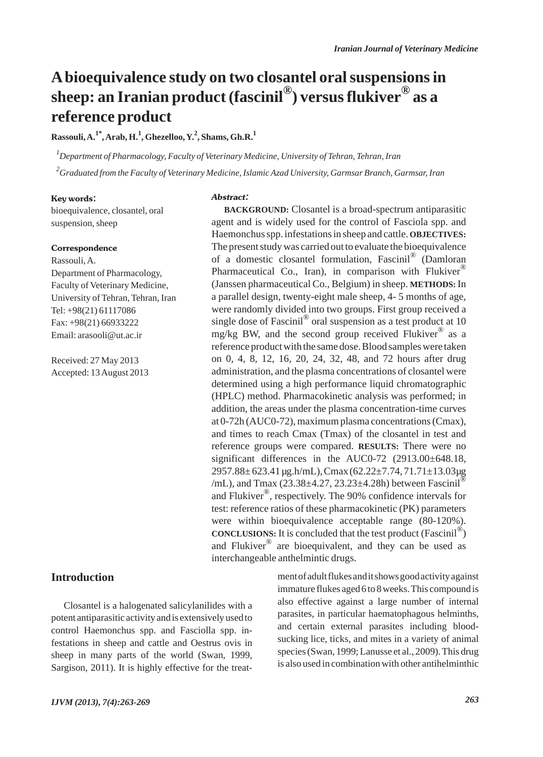## **Abioequivalence study on two closantel oral suspensions in sheep: an Iranian product (fascinil®) versus flukiver® as a reference product**

**Rassouli, A.1\*, Arab, H.1 , Ghezelloo, Y.<sup>2</sup> , Shams, Gh.R.<sup>1</sup>**

*1 Department of Pharmacology, Faculty of Veterinary Medicine, University of Tehran, Tehran, Iran 2 Graduated from the Faculty of Veterinary Medicine, Islamic Azad University, Garmsar Branch, Garmsar, Iran*

Abstract:

#### Key words:

bioequivalence, closantel, oral suspension, sheep

#### **Correspondence**

Rassouli, A. Department of Pharmacology, Faculty of Veterinary Medicine, University of Tehran, Tehran, Iran Tel: +98(21) 61117086 Fax: +98(21) 66933222 Email: arasooli@ut.ac.ir

Received: 27 May 2013 Accepted: 13 August 2013

## **Introduction**

Closantel is a halogenated salicylanilides with a potent antiparasitic activity and is extensively used to control Haemonchus spp. and Fasciolla spp. infestations in sheep and cattle and Oestrus ovis in sheep in many parts of the world (Swan, 1999, Sargison, 2011). It is highly effective for the treatment of adult flukes and it shows good activity against immature flukes aged 6 to 8 weeks. This compound is also effective against a large number of internal parasites, in particular haematophagous helminths, and certain external parasites including bloodsucking lice, ticks, and mites in a variety of animal species (Swan, 1999; Lanusse et al., 2009). This drug is also used in combination with other antihelminthic

agent and is widely used for the control of Fasciola spp. and Haemonchus spp. infestations in sheep and cattle. **OBJECTIVES:** The present study was carried out to evaluate the bioequivalence of a domestic closantel formulation, Fascinil® (Damloran Pharmaceutical Co., Iran), in comparison with Flukiver<sup>®</sup> (Janssen pharmaceutical Co., Belgium) in sheep. **METHODS:** In a parallel design, twenty-eight male sheep, 4- 5 months of age, were randomly divided into two groups. First group received a single dose of Fascinil<sup>®</sup> oral suspension as a test product at 10 mg/kg BW, and the second group received Flukiver® as a reference product with the same dose. Blood samples were taken on 0, 4, 8, 12, 16, 20, 24, 32, 48, and 72 hours after drug administration, and the plasma concentrations of closantel were determined using a high performance liquid chromatographic (HPLC) method. Pharmacokinetic analysis was performed; in addition, the areas under the plasma concentration-time curves at 0-72h (AUC0-72), maximum plasma concentrations (Cmax), and times to reach Cmax (Tmax) of the closantel in test and reference groups were compared. **RESULTS:** There were no significant differences in the AUC0-72 (2913.00±648.18,  $2957.88 \pm 623.41 \mu$ g.h/mL), Cmax (62.22 $\pm 7.74$ ,  $71.71 \pm 13.03 \mu$ g /mL), and Tmax (23.38 $\pm$ 4.27, 23.23 $\pm$ 4.28h) between Fascinil<sup>®</sup> and Flukiver®, respectively. The 90% confidence intervals for test: reference ratios of these pharmacokinetic (PK) parameters were within bioequivalence acceptable range (80-120%). **CONCLUSIONS:** It is concluded that the test product (Fascinil®) and Flukiver $^{\circledR}$  are bioequivalent, and they can be used as interchangeable anthelmintic drugs.

**BACKGROUND:** Closantel is a broad-spectrum antiparasitic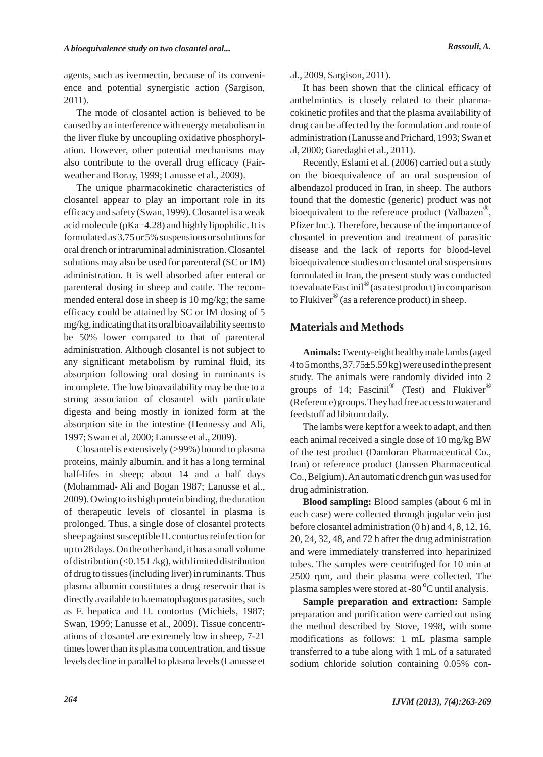agents, such as ivermectin, because of its convenience and potential synergistic action (Sargison, 2011).

The mode of closantel action is believed to be caused by an interference with energy metabolism in the liver fluke by uncoupling oxidative phosphorylation. However, other potential mechanisms may also contribute to the overall drug efficacy (Fairweather and Boray, 1999; Lanusse et al., 2009).

The unique pharmacokinetic characteristics of closantel appear to play an important role in its efficacy and safety (Swan, 1999). Closantel is a weak acid molecule (pKa=4.28) and highly lipophilic. It is formulated as 3.75 or 5% suspensions or solutions for oral drench or intraruminal administration. Closantel solutions may also be used for parenteral (SC or IM) administration. It is well absorbed after enteral or parenteral dosing in sheep and cattle. The recommended enteral dose in sheep is 10 mg/kg; the same efficacy could be attained by SC or IM dosing of 5 mg/kg, indicating that its oral bioavailability seems to be 50% lower compared to that of parenteral administration. Although closantel is not subject to any significant metabolism by ruminal fluid, its absorption following oral dosing in ruminants is incomplete. The low bioavailability may be due to a strong association of closantel with particulate digesta and being mostly in ionized form at the absorption site in the intestine (Hennessy and Ali, 1997; Swan et al, 2000; Lanusse et al., 2009).

Closantel is extensively (>99%) bound to plasma proteins, mainly albumin, and it has a long terminal half-lifes in sheep; about 14 and a half days (Mohammad- Ali and Bogan 1987; Lanusse et al., 2009). Owing to its high protein binding, the duration of therapeutic levels of closantel in plasma is prolonged. Thus, a single dose of closantel protects sheep against susceptible H. contortus reinfection for up to 28 days. On the other hand, it has a small volume of distribution  $\left($ <0.15 L/kg), with limited distribution of drug to tissues (including liver) in ruminants. Thus plasma albumin constitutes a drug reservoir that is directly available to haematophagous parasites, such as F. hepatica and H. contortus (Michiels, 1987; Swan, 1999; Lanusse et al., 2009). Tissue concentrations of closantel are extremely low in sheep, 7-21 times lower than its plasma concentration, and tissue levels decline in parallel to plasma levels (Lanusse et al., 2009, Sargison, 2011).

It has been shown that the clinical efficacy of anthelmintics is closely related to their pharmacokinetic profiles and that the plasma availability of drug can be affected by the formulation and route of administration (Lanusse and Prichard, 1993; Swan et al, 2000; Garedaghi et al., 2011).

Recently, Eslami et al. (2006) carried out a study on the bioequivalence of an oral suspension of albendazol produced in Iran, in sheep. The authors found that the domestic (generic) product was not bioequivalent to the reference product (Valbazen<sup>®</sup>, Pfizer Inc.). Therefore, because of the importance of closantel in prevention and treatment of parasitic disease and the lack of reports for blood-level bioequivalence studies on closantel oral suspensions formulated in Iran, the present study was conducted to evaluate Fascinil®(as a test product) in comparison to Flukiver<sup>®</sup> (as a reference product) in sheep.

## **Materials and Methods**

**Animals:**Twenty-eight healthy male lambs (aged 4 to 5 months, 37.75±5.59 kg) were used in the present study. The animals were randomly divided into 2 groups of 14; Fascinil® (Test) and Flukiver® (Reference) groups. They had free access to water and feedstuff ad libitum daily.

The lambs were kept for a week to adapt, and then each animal received a single dose of 10 mg/kg BW of the test product (Damloran Pharmaceutical Co., Iran) or reference product (Janssen Pharmaceutical Co., Belgium). An automatic drench gun was used for drug administration.

**Blood sampling:** Blood samples (about 6 ml in each case) were collected through jugular vein just before closantel administration (0 h) and 4, 8, 12, 16, 20, 24, 32, 48, and 72 h after the drug administration and were immediately transferred into heparinized tubes. The samples were centrifuged for 10 min at 2500 rpm, and their plasma were collected. The plasma samples were stored at -80<sup>°</sup>C until analysis.

**Sample preparation and extraction:** Sample preparation and purification were carried out using the method described by Stove, 1998, with some modifications as follows: 1 mL plasma sample transferred to a tube along with 1 mL of a saturated sodium chloride solution containing 0.05% con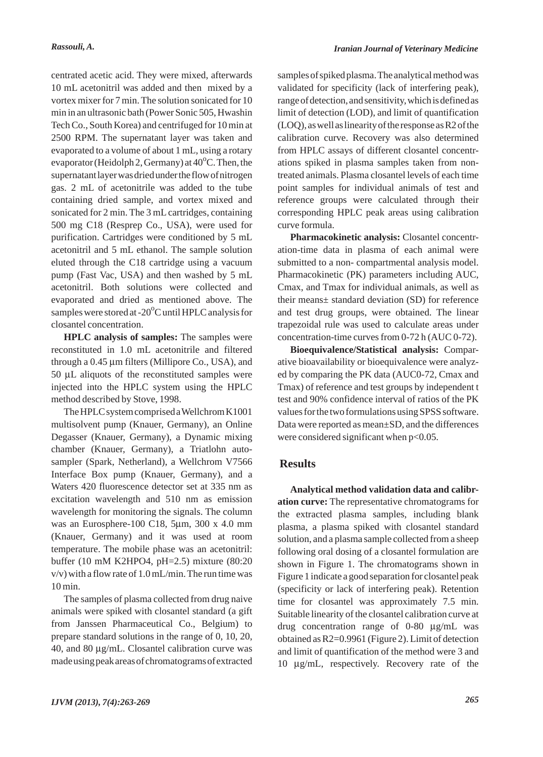centrated acetic acid. They were mixed, afterwards 10 mL acetonitril was added and then mixed by a vortex mixer for 7 min. The solution sonicated for 10 min in an ultrasonic bath (Power Sonic 505, Hwashin Tech Co., South Korea) and centrifuged for 10 min at 2500 RPM. The supernatant layer was taken and evaporated to a volume of about 1 mL, using a rotary evaporator (Heidolph 2, Germany) at  $40^{\circ}$ C. Then, the supernatant layer was dried under the flow of nitrogen gas. 2 mL of acetonitrile was added to the tube containing dried sample, and vortex mixed and sonicated for 2 min. The 3 mL cartridges, containing 500 mg C18 (Resprep Co., USA), were used for purification. Cartridges were conditioned by 5 mL acetonitril and 5 mL ethanol. The sample solution eluted through the C18 cartridge using a vacuum pump (Fast Vac, USA) and then washed by 5 mL acetonitril. Both solutions were collected and evaporated and dried as mentioned above. The samples were stored at -20<sup>o</sup>C until HPLC analysis for closantel concentration.

**HPLC analysis of samples:** The samples were reconstituted in 1.0 mL acetonitrile and filtered through a 0.45 μm filters (Millipore Co., USA), and 50 μL aliquots of the reconstituted samples were injected into the HPLC system using the HPLC method described by Stove, 1998.

The HPLC system comprised a Wellchrom K1001 multisolvent pump (Knauer, Germany), an Online Degasser (Knauer, Germany), a Dynamic mixing chamber (Knauer, Germany), a Triatlohn autosampler (Spark, Netherland), a Wellchrom V7566 Interface Box pump (Knauer, Germany), and a Waters 420 fluorescence detector set at 335 nm as excitation wavelength and 510 nm as emission wavelength for monitoring the signals. The column was an Eurosphere-100 C18, 5μm, 300 x 4.0 mm (Knauer, Germany) and it was used at room temperature. The mobile phase was an acetonitril: buffer (10 mM K2HPO4, pH=2.5) mixture (80:20  $v/v$ ) with a flow rate of 1.0 mL/min. The run time was 10 min.

The samples of plasma collected from drug naive animals were spiked with closantel standard (a gift from Janssen Pharmaceutical Co., Belgium) to prepare standard solutions in the range of 0, 10, 20, 40, and 80 μg/mL. Closantel calibration curve was made using peak areas of chromatograms of extracted samples of spiked plasma. The analytical method was validated for specificity (lack of interfering peak), range of detection, and sensitivity, which is defined as limit of detection (LOD), and limit of quantification (LOQ), as well as linearity of the response as R2 of the calibration curve. Recovery was also determined from HPLC assays of different closantel concentrations spiked in plasma samples taken from nontreated animals. Plasma closantel levels of each time point samples for individual animals of test and reference groups were calculated through their corresponding HPLC peak areas using calibration curve formula.

**Pharmacokinetic analysis:** Closantel concentration-time data in plasma of each animal were submitted to a non- compartmental analysis model. Pharmacokinetic (PK) parameters including AUC, Cmax, and Tmax for individual animals, as well as their means± standard deviation (SD) for reference and test drug groups, were obtained. The linear trapezoidal rule was used to calculate areas under concentration-time curves from 0-72 h (AUC 0-72).

**Bioequivalence/Statistical analysis:** Comparative bioavailability or bioequivalence were analyzed by comparing the PK data (AUC0-72, Cmax and Tmax) of reference and test groups by independent t test and 90% confidence interval of ratios of the PK values for the two formulations using SPSS software. Data were reported as mean±SD, and the differences were considered significant when  $p<0.05$ .

## **Results**

**Analytical method validation data and calibration curve:** The representative chromatograms for the extracted plasma samples, including blank plasma, a plasma spiked with closantel standard solution, and a plasma sample collected from a sheep following oral dosing of a closantel formulation are shown in Figure 1. The chromatograms shown in Figure 1 indicate a good separation for closantel peak (specificity or lack of interfering peak). Retention time for closantel was approximately 7.5 min. Suitable linearity of the closantel calibration curve at drug concentration range of 0-80 μg/mL was obtained as R2=0.9961 (Figure 2). Limit of detection and limit of quantification of the method were 3 and 10 μg/mL, respectively. Recovery rate of the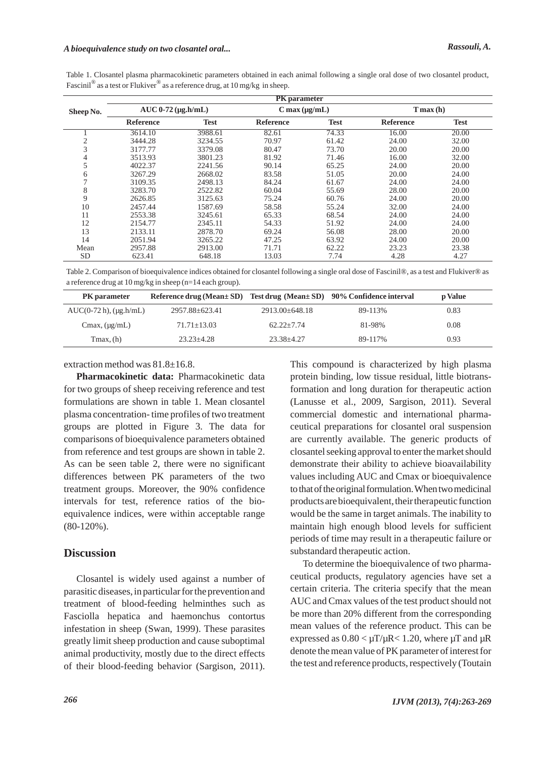Table 1. Closantel plasma pharmacokinetic parameters obtained in each animal following a single oral dose of two closantel product, Fascinil<sup>®</sup> as a test or Flukiver<sup>®</sup> as a reference drug, at 10 mg/kg in sheep.

|                | <b>PK</b> parameter     |             |                       |             |                  |             |  |
|----------------|-------------------------|-------------|-----------------------|-------------|------------------|-------------|--|
| Sheep No.      | $AUC 0-72 (\mu g.h/mL)$ |             | $C$ max ( $\mu$ g/mL) |             | $T$ max (h)      |             |  |
|                | <b>Reference</b>        | <b>Test</b> | <b>Reference</b>      | <b>Test</b> | <b>Reference</b> | <b>Test</b> |  |
|                | 3614.10                 | 3988.61     | 82.61                 | 74.33       | 16.00            | 20.00       |  |
| $\mathfrak{2}$ | 3444.28                 | 3234.55     | 70.97                 | 61.42       | 24.00            | 32.00       |  |
| 3              | 3177.77                 | 3379.08     | 80.47                 | 73.70       | 20.00            | 20.00       |  |
| 4              | 3513.93                 | 3801.23     | 81.92                 | 71.46       | 16.00            | 32.00       |  |
| 5              | 4022.37                 | 2241.56     | 90.14                 | 65.25       | 24.00            | 20.00       |  |
| 6              | 3267.29                 | 2668.02     | 83.58                 | 51.05       | 20.00            | 24.00       |  |
|                | 3109.35                 | 2498.13     | 84.24                 | 61.67       | 24.00            | 24.00       |  |
| 8              | 3283.70                 | 2522.82     | 60.04                 | 55.69       | 28.00            | 20.00       |  |
| 9              | 2626.85                 | 3125.63     | 75.24                 | 60.76       | 24.00            | 20.00       |  |
| 10             | 2457.44                 | 1587.69     | 58.58                 | 55.24       | 32.00            | 24.00       |  |
| 11             | 2553.38                 | 3245.61     | 65.33                 | 68.54       | 24.00            | 24.00       |  |
| 12             | 2154.77                 | 2345.11     | 54.33                 | 51.92       | 24.00            | 24.00       |  |
| 13             | 2133.11                 | 2878.70     | 69.24                 | 56.08       | 28.00            | 20.00       |  |
| 14             | 2051.94                 | 3265.22     | 47.25                 | 63.92       | 24.00            | 20.00       |  |
| Mean           | 2957.88                 | 2913.00     | 71.71                 | 62.22       | 23.23            | 23.38       |  |
| <b>SD</b>      | 623.41                  | 648.18      | 13.03                 | 7.74        | 4.28             | 4.27        |  |

Table 2. Comparison of bioequivalence indices obtained for closantel following a single oral dose of Fascinil®, as a test and Flukiver® as a reference drug at 10 mg/kg in sheep (n=14 each group).

| <b>PK</b> parameter             | Reference drug (Mean ± SD) Test drug (Mean ± SD) 90% Confidence interval |                      |         | <b>p</b> Value |
|---------------------------------|--------------------------------------------------------------------------|----------------------|---------|----------------|
| $AUC(0-72 h)$ , ( $\mu$ g.h/mL) | 2957.88+623.41                                                           | $2913.00 \pm 648.18$ | 89-113% | 0.83           |
| $C$ max, $(\mu$ g/mL)           | $71.71 + 13.03$                                                          | $62.22 + 7.74$       | 81-98%  | 0.08           |
| $T$ max, $(h)$                  | $23.23 + 4.28$                                                           | $23.38 + 4.27$       | 89-117% | 0.93           |

extraction method was 81.8±16.8.

**Pharmacokinetic data:** Pharmacokinetic data for two groups of sheep receiving reference and test formulations are shown in table 1. Mean closantel plasma concentration- time profiles of two treatment groups are plotted in Figure 3. The data for comparisons of bioequivalence parameters obtained from reference and test groups are shown in table 2. As can be seen table 2, there were no significant differences between PK parameters of the two treatment groups. Moreover, the 90% confidence intervals for test, reference ratios of the bioequivalence indices, were within acceptable range (80-120%).

### **Discussion**

Closantel is widely used against a number of parasitic diseases, in particular for the prevention and treatment of blood-feeding helminthes such as Fasciolla hepatica and haemonchus contortus infestation in sheep (Swan, 1999). These parasites greatly limit sheep production and cause suboptimal animal productivity, mostly due to the direct effects of their blood-feeding behavior (Sargison, 2011). This compound is characterized by high plasma protein binding, low tissue residual, little biotransformation and long duration for therapeutic action (Lanusse et al., 2009, Sargison, 2011). Several commercial domestic and international pharmaceutical preparations for closantel oral suspension are currently available. The generic products of closantel seeking approval to enter the market should demonstrate their ability to achieve bioavailability values including AUC and Cmax or bioequivalence to that of the original formulation. When two medicinal products are bioequivalent, their therapeutic function would be the same in target animals. The inability to maintain high enough blood levels for sufficient periods of time may result in a therapeutic failure or substandard therapeutic action.

To determine the bioequivalence of two pharmaceutical products, regulatory agencies have set a certain criteria. The criteria specify that the mean AUC and Cmax values of the test product should not be more than 20% different from the corresponding mean values of the reference product. This can be expressed as  $0.80 < \mu T/\mu R < 1.20$ , where  $\mu T$  and  $\mu R$ denote the mean value of PK parameter of interest for the test and reference products, respectively (Toutain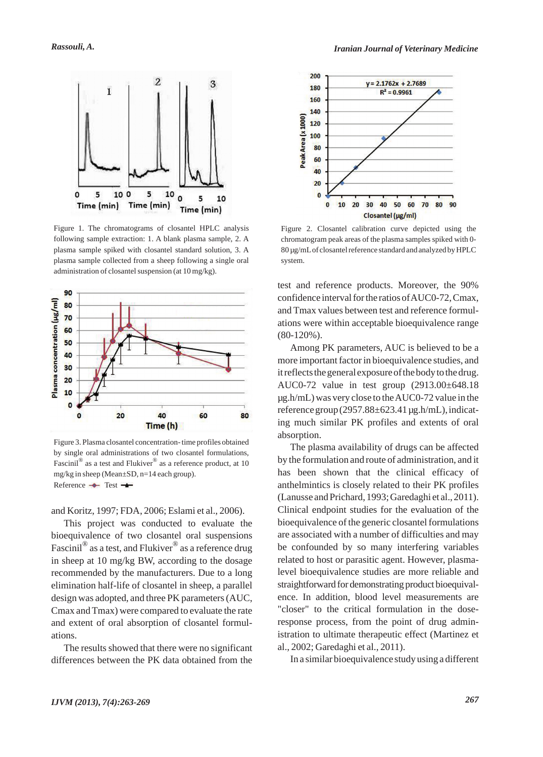

Figure 1. The chromatograms of closantel HPLC analysis following sample extraction: 1. A blank plasma sample, 2. A plasma sample spiked with closantel standard solution, 3. A plasma sample collected from a sheep following a single oral administration of closantel suspension (at 10 mg/kg).



Figure 3. Plasma closantel concentration- time profiles obtained by single oral administrations of two closantel formulations, Fascinil<sup>®</sup> as a test and Flukiver<sup>®</sup> as a reference product, at 10 mg/kg in sheep (Mean±SD, n=14 each group). Reference  $\rightarrow$  Test  $\rightarrow$ 

and Koritz, 1997; FDA, 2006; Eslami et al., 2006).

This project was conducted to evaluate the bioequivalence of two closantel oral suspensions Fascinil<sup>®</sup> as a test, and Flukiver<sup>®</sup> as a reference drug in sheep at 10 mg/kg BW, according to the dosage recommended by the manufacturers. Due to a long elimination half-life of closantel in sheep, a parallel design was adopted, and three PK parameters (AUC, Cmax and Tmax) were compared to evaluate the rate and extent of oral absorption of closantel formulations.

The results showed that there were no significant differences between the PK data obtained from the



Figure 2. Closantel calibration curve depicted using the chromatogram peak areas of the plasma samples spiked with 0- 80 µg/mLof closantel reference standard and analyzed by HPLC system.

test and reference products. Moreover, the 90% confidence interval for the ratios of AUC0-72, Cmax, and Tmax values between test and reference formulations were within acceptable bioequivalence range (80-120%).

Among PK parameters, AUC is believed to be a more important factor in bioequivalence studies, and it reflects the general exposure of the body to the drug. AUC0-72 value in test group (2913.00±648.18 µg.h/mL) was very close to the AUC0-72 value in the reference group  $(2957.88\pm 623.41 \,\mu$ g.h/mL), indicating much similar PK profiles and extents of oral absorption.

The plasma availability of drugs can be affected by the formulation and route of administration, and it has been shown that the clinical efficacy of anthelmintics is closely related to their PK profiles (Lanusse and Prichard, 1993; Garedaghi et al., 2011). Clinical endpoint studies for the evaluation of the bioequivalence of the generic closantel formulations are associated with a number of difficulties and may be confounded by so many interfering variables related to host or parasitic agent. However, plasmalevel bioequivalence studies are more reliable and straightforward for demonstrating product bioequivalence. In addition, blood level measurements are "closer" to the critical formulation in the doseresponse process, from the point of drug administration to ultimate therapeutic effect (Martinez et al., 2002; Garedaghi et al., 2011).

In a similar bioequivalence study using a different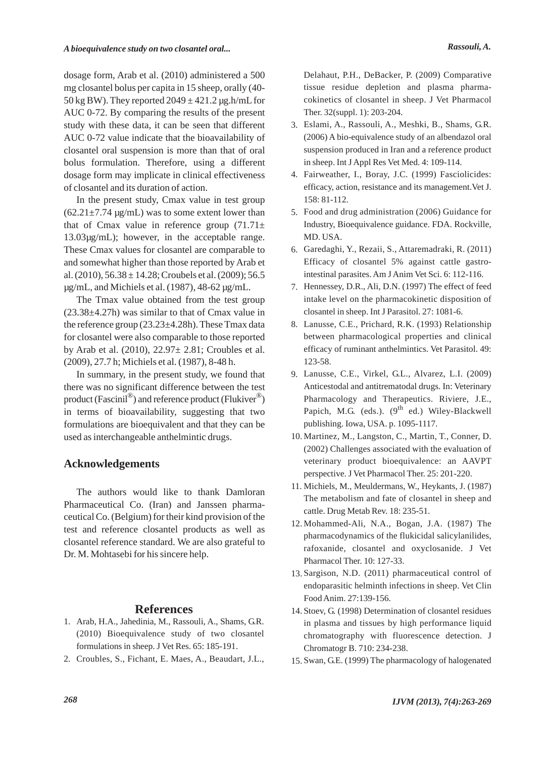dosage form, Arab et al. (2010) administered a 500 mg closantel bolus per capita in 15 sheep, orally (40- 50 kg BW). They reported  $2049 \pm 421.2$  µg.h/mL for AUC 0-72. By comparing the results of the present study with these data, it can be seen that different AUC 0-72 value indicate that the bioavailability of closantel oral suspension is more than that of oral bolus formulation. Therefore, using a different dosage form may implicate in clinical effectiveness of closantel and its duration of action.

In the present study, Cmax value in test group  $(62.21 \pm 7.74 \text{ µg/mL})$  was to some extent lower than that of Cmax value in reference group  $(71.71\pm$ 13.03µg/mL); however, in the acceptable range. These Cmax values for closantel are comparable to and somewhat higher than those reported by Arab et al. (2010),  $56.38 \pm 14.28$ ; Croubels et al. (2009);  $56.5$ µg/mL, and Michiels et al. (1987), 48-62 µg/mL.

The Tmax value obtained from the test group  $(23.38\pm4.27h)$  was similar to that of Cmax value in the reference group  $(23.23\pm4.28h)$ . These Tmax data for closantel were also comparable to those reported by Arab et al. (2010), 22.97± 2.81; Croubles et al. (2009), 27.7 h; Michiels et al. (1987), 8-48 h.

In summary, in the present study, we found that there was no significant difference between the test product (Fascinil $^{\circledR}$ ) and reference product (Flukiver $^{\circledR}$ ) in terms of bioavailability, suggesting that two formulations are bioequivalent and that they can be used as interchangeable anthelmintic drugs.

## **Acknowledgements**

The authors would like to thank Damloran Pharmaceutical Co. (Iran) and Janssen pharmaceutical Co. (Belgium) for their kind provision of the test and reference closantel products as well as closantel reference standard. We are also grateful to Dr. M. Mohtasebi for his sincere help.

#### **References**

- 1. Arab, H.A., Jahedinia, M., Rassouli, A., Shams, G.R. (2010) Bioequivalence study of two closantel formulations in sheep. J Vet Res. 65: 185-191.
- 2. Croubles, S., Fichant, E. Maes, A., Beaudart, J.L.,

Delahaut, P.H., DeBacker, P. (2009) Comparative tissue residue depletion and plasma pharmacokinetics of closantel in sheep. J Vet Pharmacol Ther. 32(suppl. 1): 203-204.

- Eslami, A., Rassouli, A., Meshki, B., Shams, G.R. 3. (2006) A bio-equivalence study of an albendazol oral suspension produced in Iran and a reference product in sheep. Int J Appl Res Vet Med. 4: 109-114.
- Fairweather, I., Boray, J.C. (1999) Fasciolicides: 4. efficacy, action, resistance and its management.Vet J. 158: 81-112.
- 5. Food and drug administration (2006) Guidance for Industry, Bioequivalence guidance. FDA. Rockville, MD. USA.
- Garedaghi, Y., Rezaii, S., Attaremadraki, R. (2011) 6. Efficacy of closantel 5% against cattle gastrointestinal parasites. Am J Anim Vet Sci. 6: 112-116.
- 7. Hennessey, D.R., Ali, D.N. (1997) The effect of feed intake level on the pharmacokinetic disposition of closantel in sheep. Int J Parasitol. 27: 1081-6.
- Lanusse, C.E., Prichard, R.K. (1993) Relationship 8. between pharmacological properties and clinical efficacy of ruminant anthelmintics. Vet Parasitol. 49: 123-58.
- Lanusse, C.E., Virkel, G.L., Alvarez, L.I. (2009) 9. Anticestodal and antitrematodal drugs. In: Veterinary Pharmacology and Therapeutics. Riviere, J.E., Papich, M.G. (eds.).  $(9^{th}$  ed.) Wiley-Blackwell publishing. Iowa, USA. p. 1095-1117.
- 10. Martinez, M., Langston, C., Martin, T., Conner, D. (2002) Challenges associated with the evaluation of veterinary product bioequivalence: an AAVPT perspective. J Vet Pharmacol Ther. 25: 201-220.
- Michiels, M., Meuldermans, W., Heykants, J. (1987) 11. The metabolism and fate of closantel in sheep and cattle. Drug Metab Rev. 18: 235-51.
- 12. Mohammed-Ali, N.A., Bogan, J.A. (1987) The pharmacodynamics of the flukicidal salicylanilides, rafoxanide, closantel and oxyclosanide. J Vet Pharmacol Ther. 10: 127-33.
- 13. Sargison, N.D. (2011) pharmaceutical control of endoparasitic helminth infections in sheep. Vet Clin Food Anim. 27:139-156.
- 14. Stoev, G. (1998) Determination of closantel residues in plasma and tissues by high performance liquid chromatography with fluorescence detection. J Chromatogr B. 710: 234-238.
- 15. Swan, G.E. (1999) The pharmacology of halogenated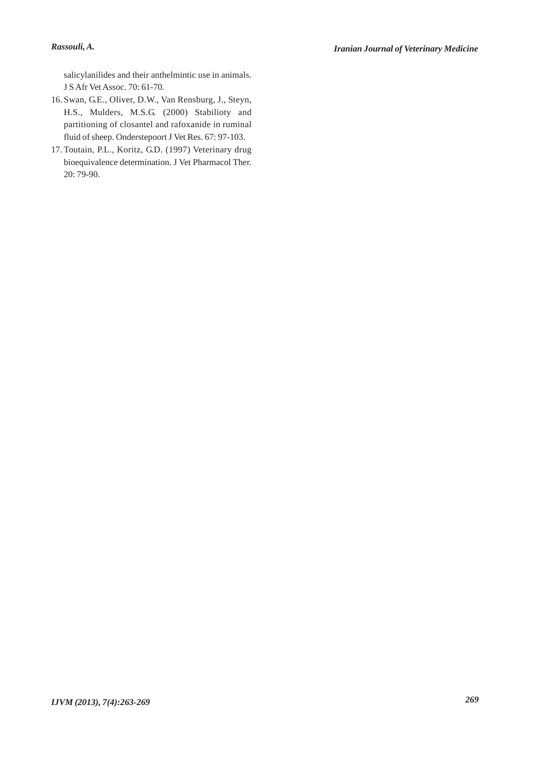salicylanilides and their anthelmintic use in animals. J S Afr Vet Assoc. 70: 61-70.

- 16. Swan, G.E., Oliver, D.W., Van Rensburg, J., Steyn, H.S., Mulders, M.S.G. (2000) Stabilioty and partitioning of closantel and rafoxanide in ruminal fluid of sheep. Onderstepoort J Vet Res. 67: 97-103.
- 17. Toutain, P.L., Koritz, G.D. (1997) Veterinary drug bioequivalence determination. J Vet Pharmacol Ther. 20: 79-90.